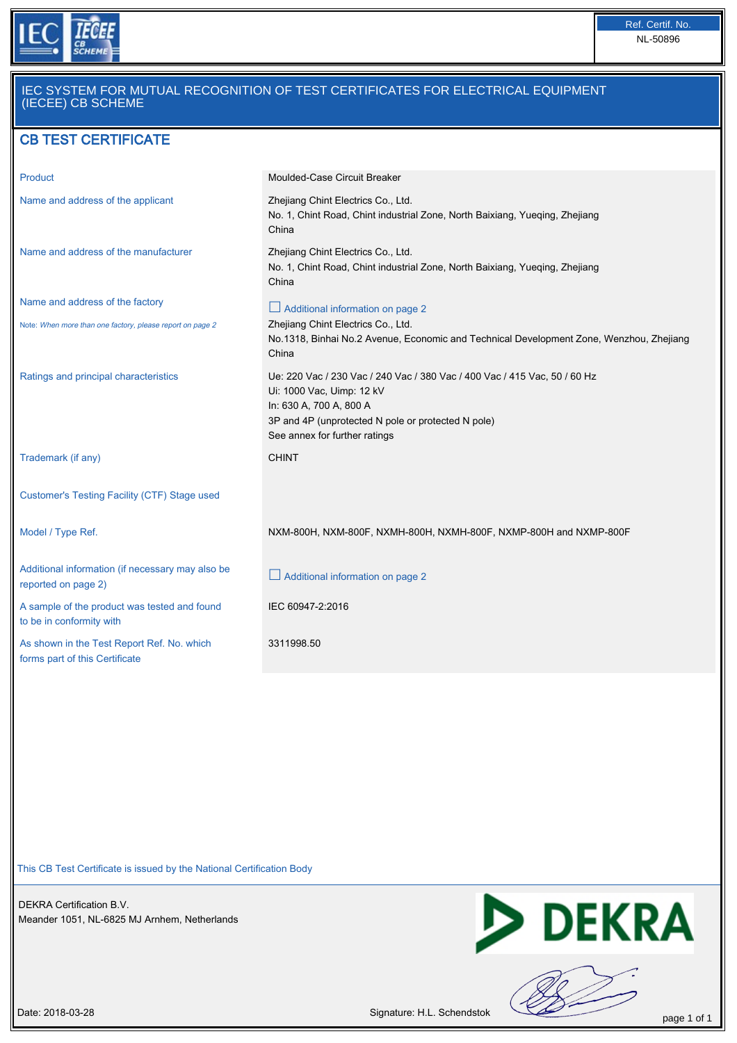

## IEC SYSTEM FOR MUTUAL RECOGNITION OF TEST CERTIFICATES FOR ELECTRICAL EQUIPMENT (IECEE) CB SCHEME

## CB TEST CERTIFICATE

| Product                                                                      | Moulded-Case Circuit Breaker                                                                                                                                                                                             |
|------------------------------------------------------------------------------|--------------------------------------------------------------------------------------------------------------------------------------------------------------------------------------------------------------------------|
| Name and address of the applicant                                            | Zhejiang Chint Electrics Co., Ltd.<br>No. 1, Chint Road, Chint industrial Zone, North Baixiang, Yueqing, Zhejiang<br>China                                                                                               |
| Name and address of the manufacturer                                         | Zhejiang Chint Electrics Co., Ltd.<br>No. 1, Chint Road, Chint industrial Zone, North Baixiang, Yueqing, Zhejiang<br>China                                                                                               |
| Name and address of the factory                                              | Additional information on page 2                                                                                                                                                                                         |
| Note: When more than one factory, please report on page 2                    | Zhejiang Chint Electrics Co., Ltd.<br>No.1318, Binhai No.2 Avenue, Economic and Technical Development Zone, Wenzhou, Zhejiang<br>China                                                                                   |
| Ratings and principal characteristics                                        | Ue: 220 Vac / 230 Vac / 240 Vac / 380 Vac / 400 Vac / 415 Vac, 50 / 60 Hz<br>Ui: 1000 Vac, Uimp: 12 kV<br>In: 630 A, 700 A, 800 A<br>3P and 4P (unprotected N pole or protected N pole)<br>See annex for further ratings |
| Trademark (if any)                                                           | <b>CHINT</b>                                                                                                                                                                                                             |
| Customer's Testing Facility (CTF) Stage used                                 |                                                                                                                                                                                                                          |
| Model / Type Ref.                                                            | NXM-800H, NXM-800F, NXMH-800H, NXMH-800F, NXMP-800H and NXMP-800F                                                                                                                                                        |
|                                                                              |                                                                                                                                                                                                                          |
| Additional information (if necessary may also be<br>reported on page 2)      | $\Box$ Additional information on page 2                                                                                                                                                                                  |
| A sample of the product was tested and found<br>to be in conformity with     | IEC 60947-2:2016                                                                                                                                                                                                         |
| As shown in the Test Report Ref. No. which<br>forms part of this Certificate | 3311998.50                                                                                                                                                                                                               |

This CB Test Certificate is issued by the National Certification Body

DEKRA Certification B.V. Meander 1051, NL-6825 MJ Arnhem, Netherlands



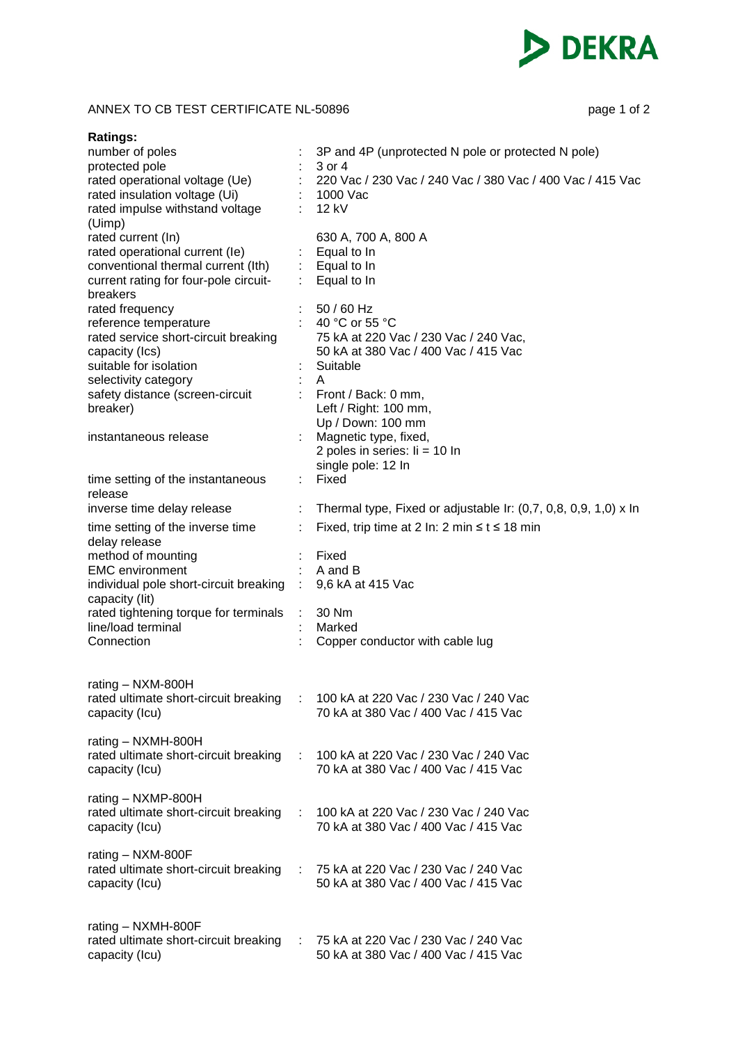

## ANNEX TO CB TEST CERTIFICATE NL-50896 page 1 of 2

| <b>Ratings:</b>                                         |                                                                         |
|---------------------------------------------------------|-------------------------------------------------------------------------|
| number of poles                                         | 3P and 4P (unprotected N pole or protected N pole)                      |
| protected pole                                          | 3 or 4                                                                  |
| rated operational voltage (Ue)                          | 220 Vac / 230 Vac / 240 Vac / 380 Vac / 400 Vac / 415 Vac               |
| rated insulation voltage (Ui)                           | 1000 Vac                                                                |
| rated impulse withstand voltage                         | 12 kV                                                                   |
| (Uimp)                                                  |                                                                         |
| rated current (In)<br>rated operational current (le)    | 630 A, 700 A, 800 A<br>Equal to In                                      |
| conventional thermal current (Ith)                      | $:$ Equal to In                                                         |
| current rating for four-pole circuit-                   | $:$ Equal to In                                                         |
| breakers                                                |                                                                         |
| rated frequency                                         | 50 / 60 Hz                                                              |
| reference temperature                                   | 40 °C or 55 °C                                                          |
| rated service short-circuit breaking                    | 75 kA at 220 Vac / 230 Vac / 240 Vac,                                   |
| capacity (Ics)                                          | 50 kA at 380 Vac / 400 Vac / 415 Vac                                    |
| suitable for isolation                                  | Suitable                                                                |
| selectivity category<br>safety distance (screen-circuit | A<br>Front / Back: 0 mm,                                                |
| breaker)                                                | Left / Right: 100 mm,                                                   |
|                                                         | Up / Down: 100 mm                                                       |
| instantaneous release                                   | Magnetic type, fixed,                                                   |
|                                                         | 2 poles in series: $\text{li} = 10 \text{ ln}$                          |
|                                                         | single pole: 12 In                                                      |
| time setting of the instantaneous                       | Fixed                                                                   |
| release                                                 |                                                                         |
| inverse time delay release                              | ÷.<br>Thermal type, Fixed or adjustable Ir: $(0,7, 0,8, 0,9, 1,0)$ x In |
| time setting of the inverse time                        | Fixed, trip time at 2 In: 2 min $\leq t \leq 18$ min                    |
| delay release                                           |                                                                         |
| method of mounting                                      | Fixed                                                                   |
| <b>EMC</b> environment                                  | A and B                                                                 |
| individual pole short-circuit breaking                  | 9,6 kA at 415 Vac                                                       |
| capacity (lit)<br>rated tightening torque for terminals | 30 Nm                                                                   |
| line/load terminal                                      | Marked                                                                  |
| Connection                                              | Copper conductor with cable lug                                         |
|                                                         |                                                                         |
|                                                         |                                                                         |
| rating - NXM-800H                                       |                                                                         |
| rated ultimate short-circuit breaking                   | 100 kA at 220 Vac / 230 Vac / 240 Vac                                   |
| capacity (Icu)                                          | 70 kA at 380 Vac / 400 Vac / 415 Vac                                    |
| rating - NXMH-800H                                      |                                                                         |
| rated ultimate short-circuit breaking                   | 100 kA at 220 Vac / 230 Vac / 240 Vac                                   |
| capacity (Icu)                                          | 70 kA at 380 Vac / 400 Vac / 415 Vac                                    |
|                                                         |                                                                         |
| rating $-$ NXMP-800H                                    |                                                                         |
| rated ultimate short-circuit breaking                   | 100 kA at 220 Vac / 230 Vac / 240 Vac<br>÷.                             |
| capacity (Icu)                                          | 70 kA at 380 Vac / 400 Vac / 415 Vac                                    |
|                                                         |                                                                         |
| rating - NXM-800F                                       |                                                                         |
| rated ultimate short-circuit breaking                   | 75 kA at 220 Vac / 230 Vac / 240 Vac                                    |
| capacity (Icu)                                          | 50 kA at 380 Vac / 400 Vac / 415 Vac                                    |
|                                                         |                                                                         |
| rating - NXMH-800F                                      |                                                                         |
| rated ultimate short-circuit breaking                   | 75 kA at 220 Vac / 230 Vac / 240 Vac                                    |
| capacity (Icu)                                          | 50 kA at 380 Vac / 400 Vac / 415 Vac                                    |